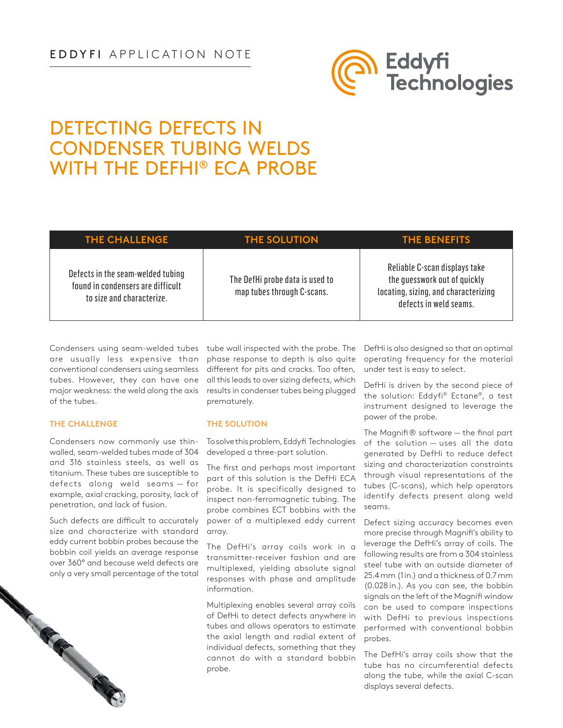## EDDYFI APPLICATION NOTE



# DETECTING DEFECTS IN CONDENSER TUBING WELDS WITH THE DEFHI® ECA PROBE

| <b>THE CHALLENGE</b>                                                                                | <b>THE SOLUTION</b>                                           | <b>THE BENEFITS</b>                                                                                                             |
|-----------------------------------------------------------------------------------------------------|---------------------------------------------------------------|---------------------------------------------------------------------------------------------------------------------------------|
| Defects in the seam-welded tubing<br>found in condensers are difficult<br>to size and characterize. | The DefHi probe data is used to<br>map tubes through C-scans. | Reliable C-scan displays take<br>the quesswork out of quickly<br>locating, sizing, and characterizing<br>defects in weld seams. |

Condensers using seam-welded tubes tube wall inspected with the probe. The are usually less expensive than conventional condensers using seamless tubes. However, they can have one major weakness: the weld along the axis of the tubes.

### **THE CHALLENGE**

Condensers now commonly use thinwalled, seam-welded tubes made of 304 and 316 stainless steels, as well as titanium. These tubes are susceptible to defects along weld seams — for example, axial cracking, porosity, lack of penetration, and lack of fusion.

Such defects are difficult to accurately size and characterize with standard eddy current bobbin probes because the bobbin coil yields an average response over 360° and because weld defects are only a very small percentage of the total<br>

phase response to depth is also quite different for pits and cracks. Too often, all this leads to over sizing defects, which results in condenser tubes being plugged prematurely.

#### **THE SOLUTION**

To solve this problem, Eddyfi Technologies developed a three-part solution.

The first and perhaps most important part of this solution is the [DefHi](http://www.eddyfi.com/products/eca-defhi-probes/) ECA probe. It is specifically designed to inspect non-ferromagnetic tubing. The probe combines ECT bobbins with the power of a multiplexed eddy current array.

The DefHi's array coils work in a transmitter-receiver fashion and are multiplexed, yielding absolute signal responses with phase and amplitude information.

Multiplexing enables several array coils of DefHi to detect defects anywhere in tubes and allows operators to estimate the axial length and radial extent of individual defects, something that they cannot do with a standard bobbin probe.

DefHi is also designed so that an optimal operating frequency for the material under test is easy to select.

DefHi is driven by the second piece of the solution: Eddyfi® [Ectane](http://www.eddyfi.com/products/ectane-2-test-instrument/)®, a test instrument designed to leverage the power of the probe.

The [Magnifi](http://www.eddyfi.com/products/magnifi-software/)® software — the final part of the solution — uses all the data generated by DefHi to reduce defect sizing and characterization constraints through visual representations of the tubes (C-scans), which help operators identify defects present along weld seams.

Defect sizing accuracy becomes even more precise through Magnifi's ability to leverage the DefHi's array of coils. The following results are from a 304 stainless steel tube with an outside diameter of 25.4mm (1in.) and a thickness of 0.7mm (0.028 in.). As you can see, the bobbin signals on the left of the Magnifi window can be used to compare inspections with DefHi to previous inspections performed with conventional bobbin probes.

The DefHi's array coils show that the tube has no circumferential defects along the tube, while the axial C-scan displays several defects.